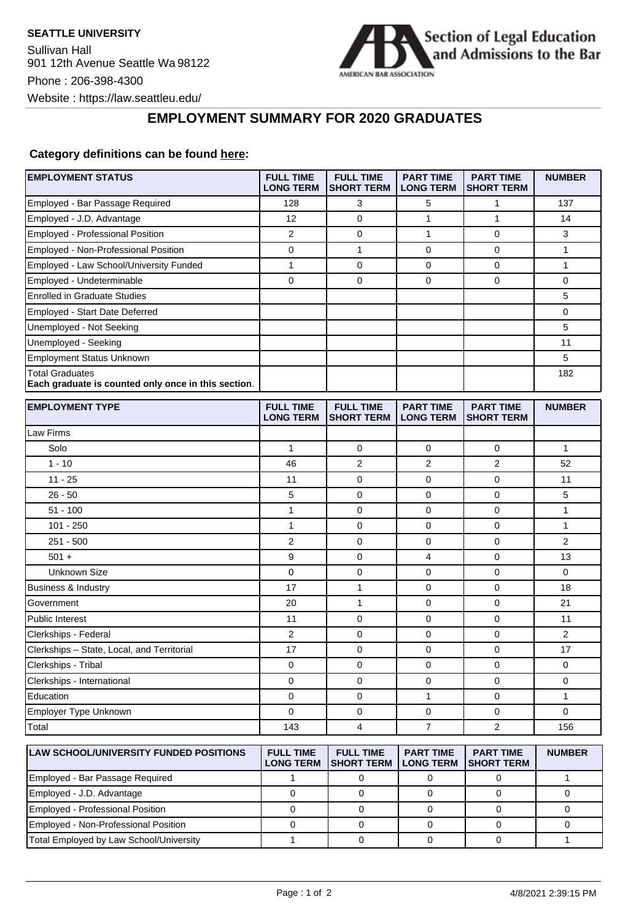

## **EMPLOYMENT SUMMARY FOR 2020 GRADUATES**

## **Category definitions can be found [here:](https://www.americanbar.org/content/dam/aba/administrative/legal_education_and_admissions_to_the_bar/Questionnaires/employment-protocol-class-of-2020.pdf)**

| <b>EMPLOYMENT STATUS</b>                                                      | <b>FULL TIME</b><br><b>LONG TERM</b> | <b>FULL TIME</b><br><b>SHORT TERM</b> | <b>PART TIME</b><br><b>LONG TERM</b> | <b>PART TIME</b><br><b>SHORT TERM</b> | <b>NUMBER</b>  |
|-------------------------------------------------------------------------------|--------------------------------------|---------------------------------------|--------------------------------------|---------------------------------------|----------------|
| Employed - Bar Passage Required                                               | 128                                  | 3                                     | 5                                    | $\mathbf{1}$                          | 137            |
| Employed - J.D. Advantage                                                     | 12                                   | $\mathbf 0$                           | 1                                    | $\mathbf{1}$                          | 14             |
| <b>Employed - Professional Position</b>                                       | $\overline{2}$                       | $\mathbf 0$                           | $\mathbf{1}$                         | $\mathbf 0$                           | 3              |
| Employed - Non-Professional Position                                          | $\mathbf 0$                          | 1                                     | 0                                    | $\mathbf 0$                           | $\mathbf{1}$   |
| Employed - Law School/University Funded                                       | $\mathbf{1}$                         | $\mathbf 0$                           | 0                                    | 0                                     | $\mathbf{1}$   |
| Employed - Undeterminable                                                     | $\Omega$                             | $\Omega$                              | $\Omega$                             | $\Omega$                              | $\Omega$       |
| <b>Enrolled in Graduate Studies</b>                                           |                                      |                                       |                                      |                                       | 5              |
| <b>Employed - Start Date Deferred</b>                                         |                                      |                                       |                                      |                                       | $\mathbf 0$    |
| Unemployed - Not Seeking                                                      |                                      |                                       |                                      |                                       | 5              |
| Unemployed - Seeking                                                          |                                      |                                       |                                      |                                       | 11             |
| <b>Employment Status Unknown</b>                                              |                                      |                                       |                                      |                                       | 5              |
| <b>Total Graduates</b><br>Each graduate is counted only once in this section. |                                      |                                       |                                      |                                       | 182            |
| <b>EMPLOYMENT TYPE</b>                                                        | <b>FULL TIME</b><br><b>LONG TERM</b> | <b>FULL TIME</b><br><b>SHORT TERM</b> | <b>PART TIME</b><br><b>LONG TERM</b> | <b>PART TIME</b><br><b>SHORT TERM</b> | <b>NUMBER</b>  |
| Law Firms                                                                     |                                      |                                       |                                      |                                       |                |
| Solo                                                                          | $\mathbf{1}$                         | $\mathbf 0$                           | 0                                    | $\mathbf 0$                           | $\mathbf{1}$   |
| $1 - 10$                                                                      | 46                                   | $\overline{2}$                        | $\overline{2}$                       | $\overline{2}$                        | 52             |
| $11 - 25$                                                                     | 11                                   | $\mathbf 0$                           | 0                                    | 0                                     | 11             |
| $26 - 50$                                                                     | 5                                    | 0                                     | 0                                    | $\mathbf 0$                           | 5              |
| $51 - 100$                                                                    | $\mathbf{1}$                         | 0                                     | $\Omega$                             | $\Omega$                              | $\mathbf{1}$   |
| $101 - 250$                                                                   | $\mathbf{1}$                         | $\mathbf 0$                           | 0                                    | $\mathbf 0$                           | $\mathbf{1}$   |
| 251 - 500                                                                     | $\overline{2}$                       | $\mathbf 0$                           | 0                                    | 0                                     | $\overline{2}$ |
| $501 +$                                                                       | 9                                    | $\mathbf 0$                           | 4                                    | $\mathbf 0$                           | 13             |
| <b>Unknown Size</b>                                                           | 0                                    | 0                                     | 0                                    | $\mathbf 0$                           | $\mathbf 0$    |
| Business & Industry                                                           | 17                                   | 1                                     | 0                                    | 0                                     | 18             |
| Government                                                                    | 20                                   | 1                                     | 0                                    | $\mathbf 0$                           | 21             |
| <b>Public Interest</b>                                                        | 11                                   | $\mathbf 0$                           | 0                                    | $\mathbf 0$                           | 11             |
| Clerkships - Federal                                                          | 2                                    | $\mathbf 0$                           | 0                                    | 0                                     | $\overline{2}$ |
| Clerkships - State, Local, and Territorial                                    | 17                                   | 0                                     | 0                                    | 0                                     | 17             |
| Clerkships - Tribal                                                           | $\mathbf 0$                          | 0                                     | 0                                    | $\mathbf 0$                           | $\mathbf 0$    |
| Clerkships - International                                                    | $\mathbf 0$                          | $\mathbf 0$                           | 0                                    | $\mathbf 0$                           | $\mathbf 0$    |
| Education                                                                     | $\mathbf 0$                          | 0                                     | $\mathbf{1}$                         | $\mathbf 0$                           | $\mathbf{1}$   |
| Employer Type Unknown                                                         | 0                                    | 0                                     | 0                                    | 0                                     | 0              |
| Total                                                                         | 143                                  | 4                                     | $\overline{7}$                       | $\overline{2}$                        | 156            |
| <b>LAW SCHOOL/UNIVERSITY FUNDED POSITIONS</b>                                 | <b>FULL TIME</b><br><b>LONG TERM</b> | <b>FULL TIME</b><br><b>SHORT TERM</b> | <b>PART TIME</b><br><b>LONG TERM</b> | <b>PART TIME</b><br><b>SHORT TERM</b> | <b>NUMBER</b>  |

|                                         | LONG TERM ISHORT TERM I LONG TERM ISHORT TERM |  |  |
|-----------------------------------------|-----------------------------------------------|--|--|
| Employed - Bar Passage Required         |                                               |  |  |
| Employed - J.D. Advantage               |                                               |  |  |
| Employed - Professional Position        |                                               |  |  |
| Employed - Non-Professional Position    |                                               |  |  |
| Total Employed by Law School/University |                                               |  |  |